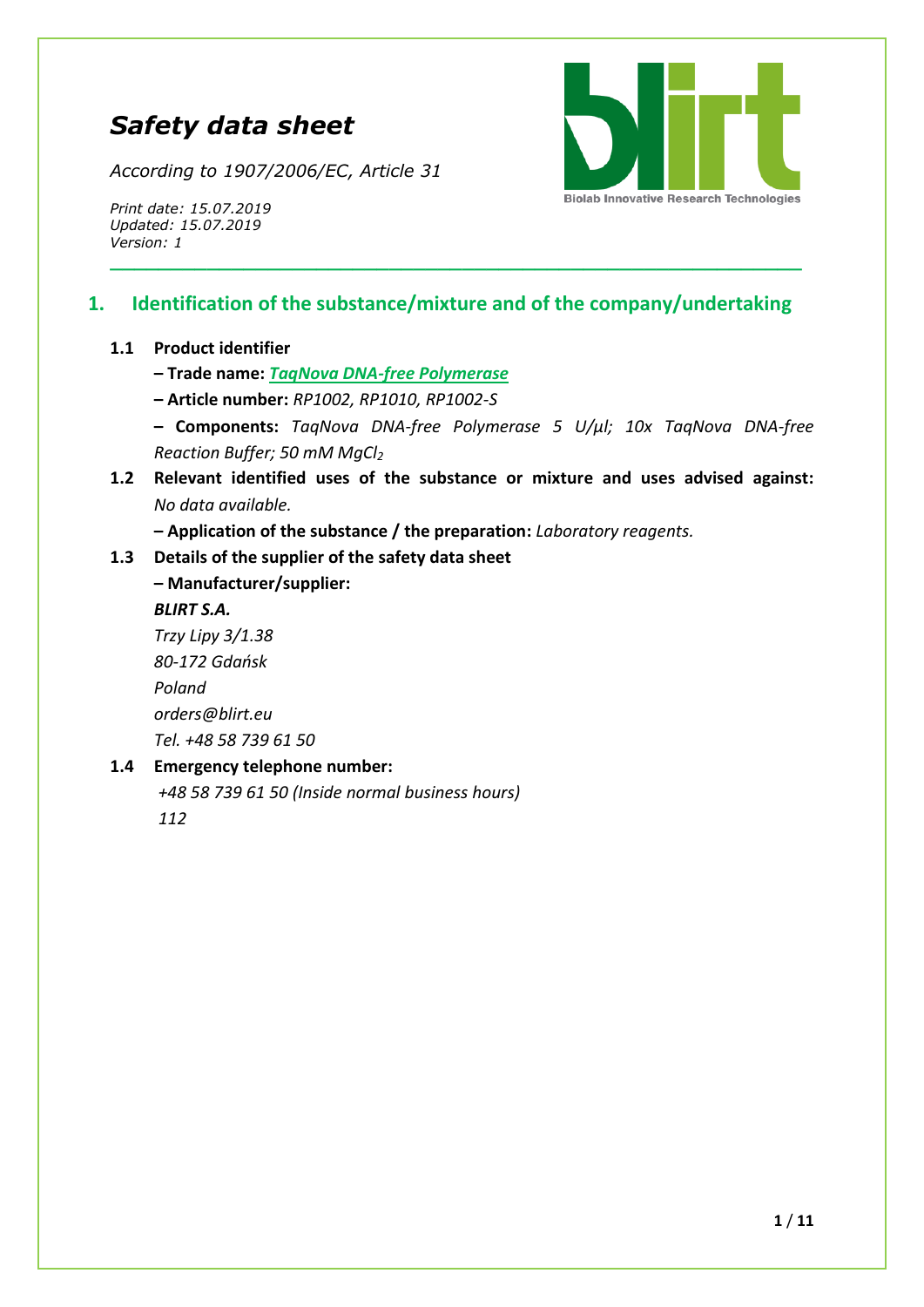# *Safety data sheet*

*According to 1907/2006/EC, Article 31*



*Print date: 15.07.2019 Updated: 15.07.2019 Version: 1*

## **1. Identification of the substance/mixture and of the company/undertaking**

**\_\_\_\_\_\_\_\_\_\_\_\_\_\_\_\_\_\_\_\_\_\_\_\_\_\_\_\_\_\_\_\_\_\_\_\_\_\_\_\_\_\_\_\_\_\_\_\_\_\_\_\_\_\_\_\_\_**

#### **1.1 Product identifier**

- **– Trade name:** *TaqNova DNA-free Polymerase*
- **– Article number:** *RP1002, RP1010, RP1002-S*
- **– Components:** *TaqNova DNA-free Polymerase 5 U/μl; 10x TaqNova DNA-free Reaction Buffer; 50 mM MgCl<sup>2</sup>*
- **1.2 Relevant identified uses of the substance or mixture and uses advised against:**  *No data available.*
	- **– Application of the substance / the preparation:** *Laboratory reagents.*

#### **1.3 Details of the supplier of the safety data sheet**

**– Manufacturer/supplier:** *BLIRT S.A. Trzy Lipy 3/1.38 80-172 Gdańsk Poland [orders@blirt.eu](mailto:orders@blirt.eu) Tel. +48 58 739 61 50*

#### **1.4 Emergency telephone number:**

*+48 58 739 61 50 (Inside normal business hours) 112*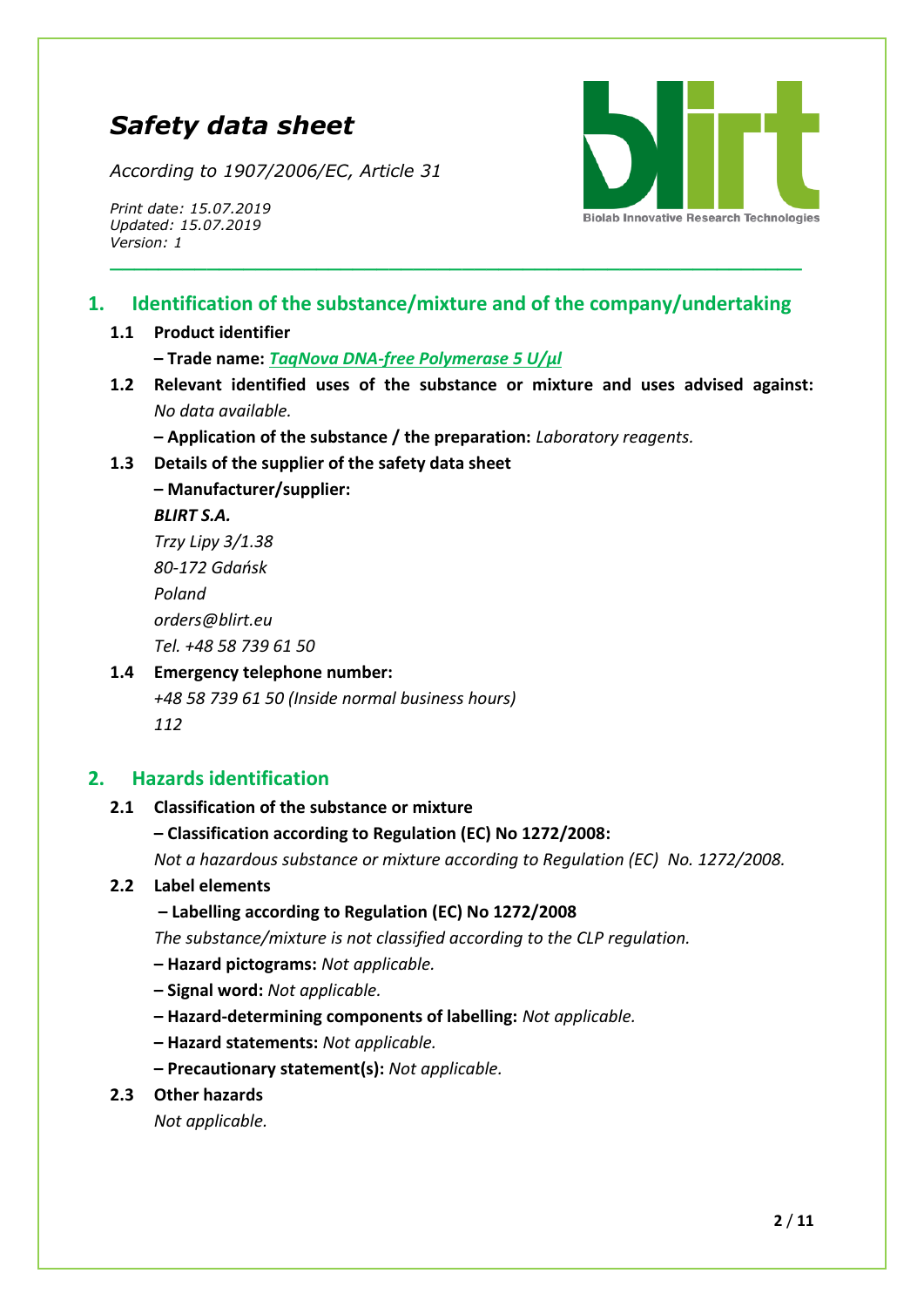# *Safety data sheet*

*According to 1907/2006/EC, Article 31*

*Print date: 15.07.2019 Updated: 15.07.2019 Version: 1*



## **1. Identification of the substance/mixture and of the company/undertaking**

**\_\_\_\_\_\_\_\_\_\_\_\_\_\_\_\_\_\_\_\_\_\_\_\_\_\_\_\_\_\_\_\_\_\_\_\_\_\_\_\_\_\_\_\_\_\_\_\_\_\_\_\_\_\_\_\_\_**

#### **1.1 Product identifier**

**– Trade name:** *TaqNova DNA-free Polymerase 5 U/µl*

**1.2 Relevant identified uses of the substance or mixture and uses advised against:**  *No data available.*

**– Application of the substance / the preparation:** *Laboratory reagents.*

**1.3 Details of the supplier of the safety data sheet**

**– Manufacturer/supplier:** *BLIRT S.A. Trzy Lipy 3/1.38 80-172 Gdańsk Poland*

*[orders@blirt.eu](mailto:orders@blirt.eu) Tel. +48 58 739 61 50*

## **1.4 Emergency telephone number:** *+48 58 739 61 50 (Inside normal business hours)*

*112*

## **2. Hazards identification**

## **2.1 Classification of the substance or mixture**

**– Classification according to Regulation (EC) No 1272/2008:** 

*Not a hazardous substance or mixture according to Regulation (EC) No. 1272/2008.*

## **2.2 Label elements**

**– Labelling according to Regulation (EC) No 1272/2008**

*The substance/mixture is not classified according to the CLP regulation.*

- **– Hazard pictograms:** *Not applicable.*
- **– Signal word:** *Not applicable.*
- **– Hazard-determining components of labelling:** *Not applicable.*
- **– Hazard statements:** *Not applicable.*
- **– Precautionary statement(s):** *Not applicable.*
- **2.3 Other hazards**

*Not applicable.*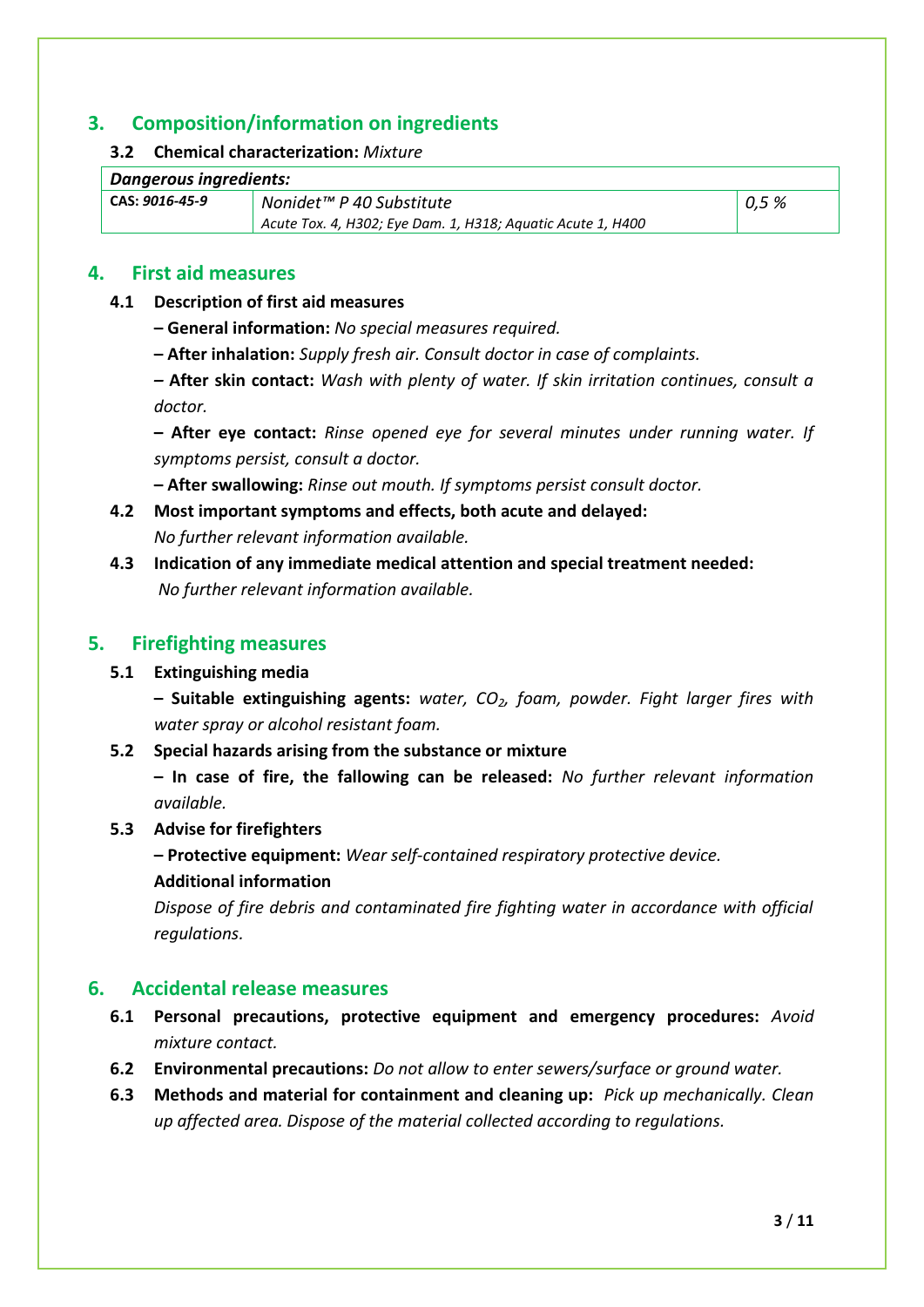## **3. Composition/information on ingredients**

#### **3.2 Chemical characterization:** *Mixture*

| CAS: 9016-45-9 | Nonidet™ P 40 Substitute                                    | 0.5% |
|----------------|-------------------------------------------------------------|------|
|                | Acute Tox. 4, H302; Eye Dam. 1, H318; Aquatic Acute 1, H400 |      |

## **4. First aid measures**

#### **4.1 Description of first aid measures**

- **– General information:** *No special measures required.*
- **– After inhalation:** *Supply fresh air. Consult doctor in case of complaints.*

*–* **After skin contact:** *Wash with plenty of water. If skin irritation continues, consult a doctor.*

**– After eye contact:** *Rinse opened eye for several minutes under running water. If symptoms persist, consult a doctor.*

**– After swallowing:** *Rinse out mouth. If symptoms persist consult doctor.*

**4.2 Most important symptoms and effects, both acute and delayed:** 

*No further relevant information available.*

**4.3 Indication of any immediate medical attention and special treatment needed:**  *No further relevant information available.*

## **5. Firefighting measures**

## **5.1 Extinguishing media**

**– Suitable extinguishing agents:** *water, CO2, foam, powder. Fight larger fires with water spray or alcohol resistant foam.*

## **5.2 Special hazards arising from the substance or mixture**

**– In case of fire, the fallowing can be released:** *No further relevant information available.*

#### **5.3 Advise for firefighters**

**– Protective equipment:** *Wear self-contained respiratory protective device.*

#### **Additional information**

*Dispose of fire debris and contaminated fire fighting water in accordance with official regulations.*

## **6. Accidental release measures**

- **6.1 Personal precautions, protective equipment and emergency procedures:** *Avoid mixture contact.*
- **6.2 Environmental precautions:** *Do not allow to enter sewers/surface or ground water.*
- **6.3 Methods and material for containment and cleaning up:** *Pick up mechanically. Clean up affected area. Dispose of the material collected according to regulations.*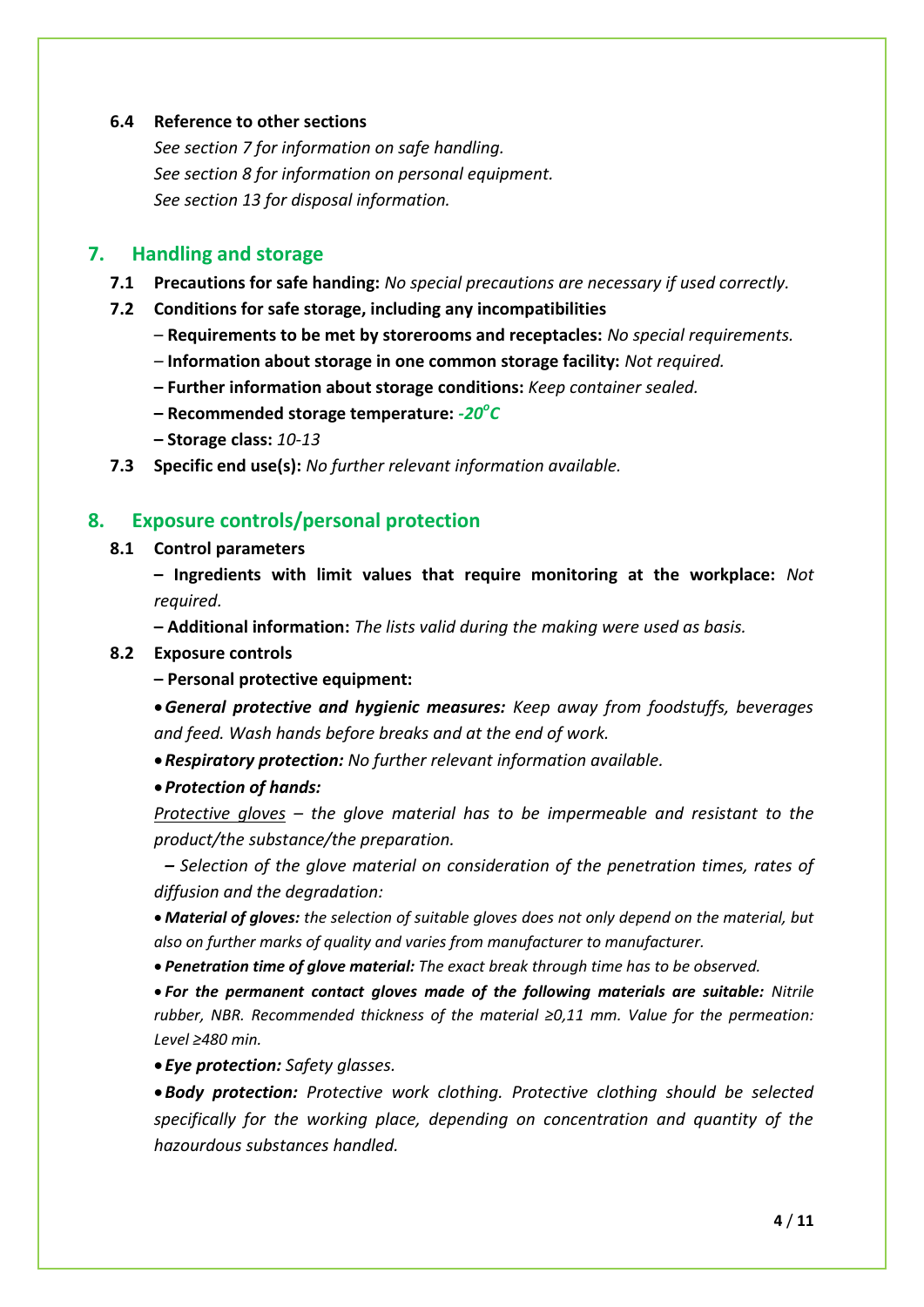#### **6.4 Reference to other sections**

*See section 7 for information on safe handling. See section 8 for information on personal equipment. See section 13 for disposal information.*

#### **7. Handling and storage**

- **7.1 Precautions for safe handing:** *No special precautions are necessary if used correctly.*
- **7.2 Conditions for safe storage, including any incompatibilities**
	- **Requirements to be met by storerooms and receptacles:** *No special requirements.*
	- *–* **Information about storage in one common storage facility:** *Not required.*
	- **– Further information about storage conditions:** *Keep container sealed.*
	- **– Recommended storage temperature:** *-20<sup>o</sup> C*
	- **– Storage class:** *10-13*
- **7.3 Specific end use(s):** *No further relevant information available.*

#### **8. Exposure controls/personal protection**

#### **8.1 Control parameters**

**– Ingredients with limit values that require monitoring at the workplace:** *Not required.*

**– Additional information:** *The lists valid during the making were used as basis.*

#### **8.2 Exposure controls**

**– Personal protective equipment:**

*General protective and hygienic measures: Keep away from foodstuffs, beverages and feed. Wash hands before breaks and at the end of work.*

*Respiratory protection: No further relevant information available.*

#### *Protection of hands:*

*Protective gloves – the glove material has to be impermeable and resistant to the product/the substance/the preparation.*

*– Selection of the glove material on consideration of the penetration times, rates of diffusion and the degradation:*

 *Material of gloves: the selection of suitable gloves does not only depend on the material, but also on further marks of quality and varies from manufacturer to manufacturer.*

*Penetration time of glove material: The exact break through time has to be observed.*

 *For the permanent contact gloves made of the following materials are suitable: Nitrile rubber, NBR. Recommended thickness of the material ≥0,11 mm. Value for the permeation: Level ≥480 min.*

*Eye protection: Safety glasses.*

*Body protection: Protective work clothing. Protective clothing should be selected specifically for the working place, depending on concentration and quantity of the hazourdous substances handled.*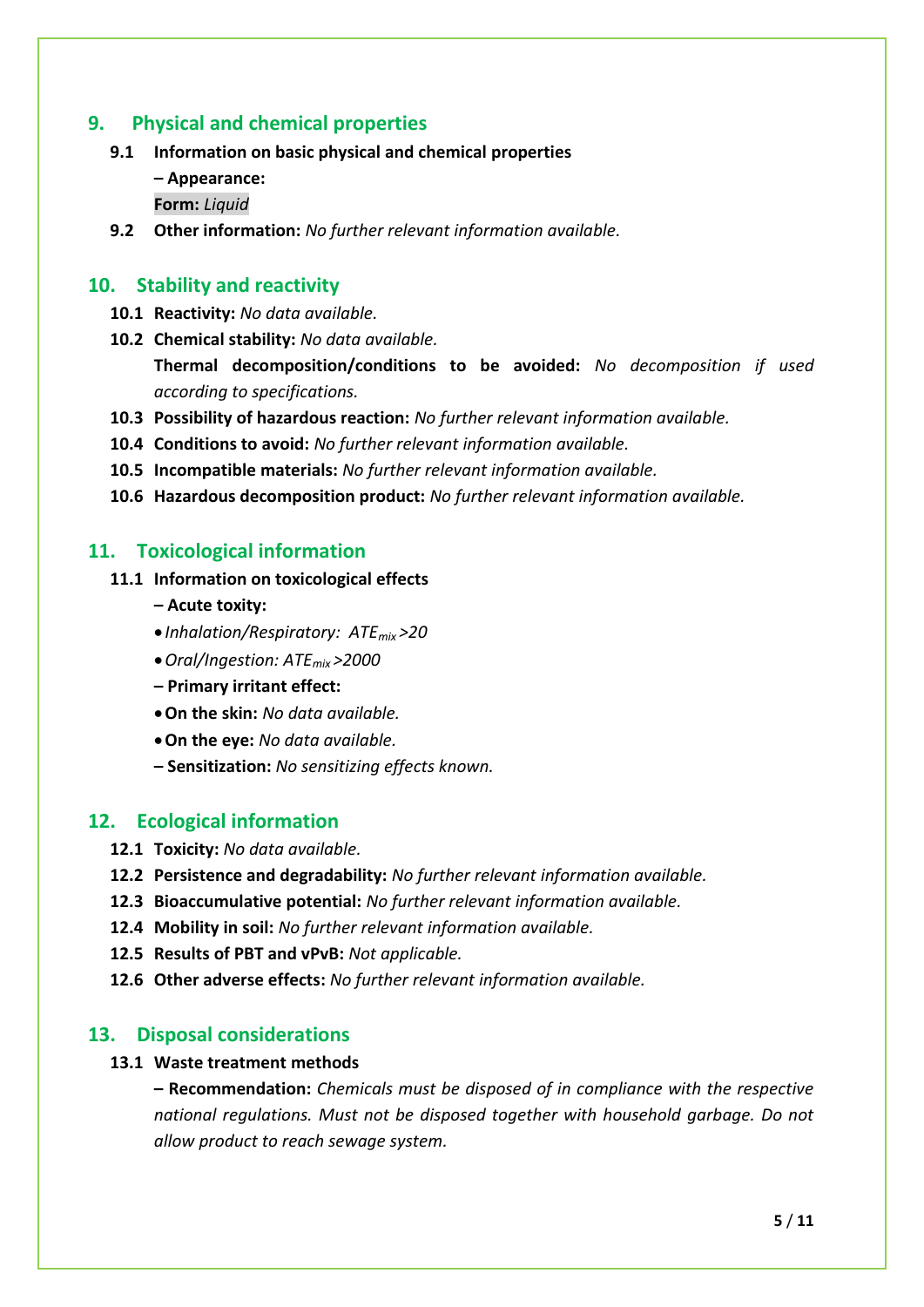## **9. Physical and chemical properties**

- **9.1 Information on basic physical and chemical properties**
	- **– Appearance:**
	- **Form:** *Liquid*
- **9.2 Other information:** *No further relevant information available.*

## **10. Stability and reactivity**

- **10.1 Reactivity:** *No data available.*
- **10.2 Chemical stability:** *No data available.*

**Thermal decomposition/conditions to be avoided:** *No decomposition if used according to specifications.*

- **10.3 Possibility of hazardous reaction:** *No further relevant information available.*
- **10.4 Conditions to avoid:** *No further relevant information available.*
- **10.5 Incompatible materials:** *No further relevant information available.*
- **10.6 Hazardous decomposition product:** *No further relevant information available.*

## **11. Toxicological information**

- **11.1 Information on toxicological effects**
	- **– Acute toxity:**
	- *Inhalation/Respiratory: ATEmix >20*
	- *Oral/Ingestion: ATEmix >2000*
	- **– Primary irritant effect:**
	- **On the skin:** *No data available.*
	- **On the eye:** *No data available.*
	- **– Sensitization:** *No sensitizing effects known.*

## **12. Ecological information**

- **12.1 Toxicity:** *No data available.*
- **12.2 Persistence and degradability:** *No further relevant information available.*
- **12.3 Bioaccumulative potential:** *No further relevant information available.*
- **12.4 Mobility in soil:** *No further relevant information available.*
- **12.5 Results of PBT and vPvB:** *Not applicable.*
- **12.6 Other adverse effects:** *No further relevant information available.*

## **13. Disposal considerations**

#### **13.1 Waste treatment methods**

**– Recommendation:** *Chemicals must be disposed of in compliance with the respective national regulations. Must not be disposed together with household garbage. Do not allow product to reach sewage system.*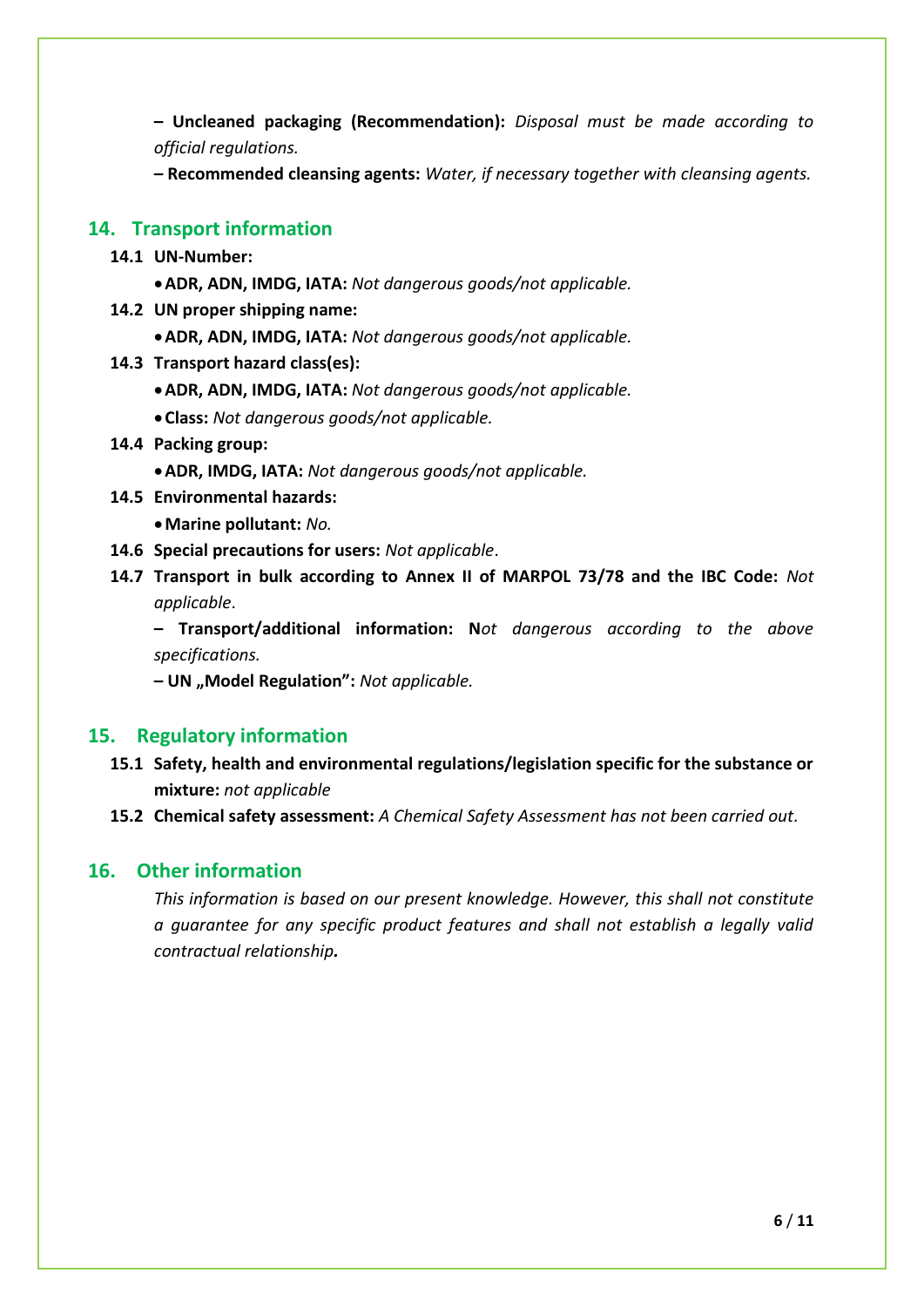**– Uncleaned packaging (Recommendation):** *Disposal must be made according to official regulations.* 

**– Recommended cleansing agents:** *Water, if necessary together with cleansing agents.*

## **14. Transport information**

- **14.1 UN-Number:**
	- **ADR, ADN, IMDG, IATA:** *Not dangerous goods/not applicable.*
- **14.2 UN proper shipping name:**
	- **ADR, ADN, IMDG, IATA:** *Not dangerous goods/not applicable.*
- **14.3 Transport hazard class(es):**
	- **ADR, ADN, IMDG, IATA:** *Not dangerous goods/not applicable.*
	- **Class:** *Not dangerous goods/not applicable.*
- **14.4 Packing group:**
	- **ADR, IMDG, IATA:** *Not dangerous goods/not applicable.*
- **14.5 Environmental hazards:**
	- **Marine pollutant:** *No.*
- **14.6 Special precautions for users:** *Not applicable*.
- **14.7 Transport in bulk according to Annex II of MARPOL 73/78 and the IBC Code:** *Not applicable*.

**– Transport/additional information: N***ot dangerous according to the above specifications.*

**– UN "Model Regulation":** *Not applicable.*

#### **15. Regulatory information**

- **15.1 Safety, health and environmental regulations/legislation specific for the substance or mixture:** *not applicable*
- **15.2 Chemical safety assessment:** *A Chemical Safety Assessment has not been carried out.*

## **16. Other information**

*This information is based on our present knowledge. However, this shall not constitute a guarantee for any specific product features and shall not establish a legally valid contractual relationship.*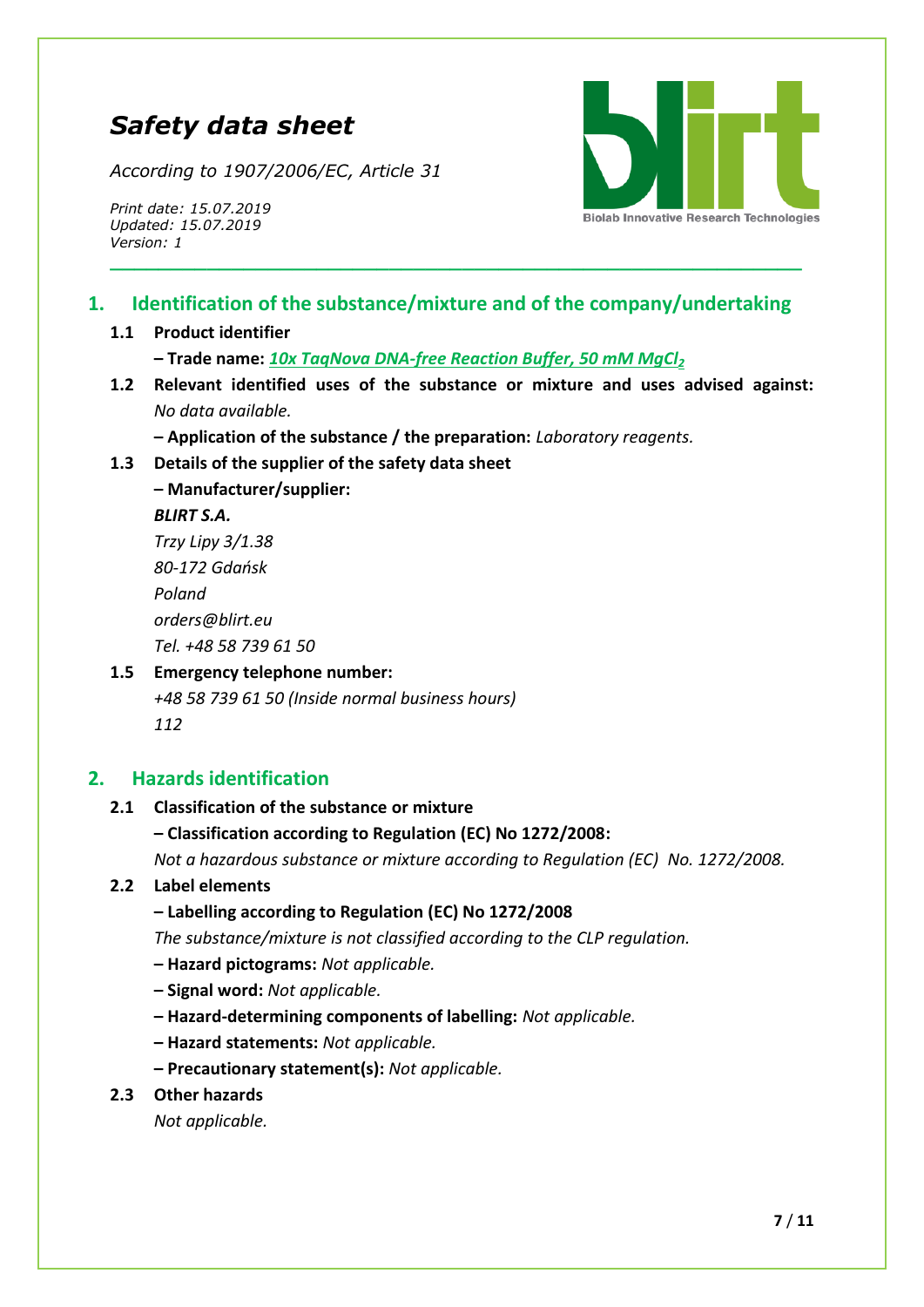# *Safety data sheet*

*According to 1907/2006/EC, Article 31*

*Print date: 15.07.2019 Updated: 15.07.2019 Version: 1*



## **1. Identification of the substance/mixture and of the company/undertaking**

**\_\_\_\_\_\_\_\_\_\_\_\_\_\_\_\_\_\_\_\_\_\_\_\_\_\_\_\_\_\_\_\_\_\_\_\_\_\_\_\_\_\_\_\_\_\_\_\_\_\_\_\_\_\_\_\_\_**

#### **1.1 Product identifier**

**– Trade name:** *10x TaqNova DNA-free Reaction Buffer, 50 mM MgCl<sup>2</sup>*

**1.2 Relevant identified uses of the substance or mixture and uses advised against:**  *No data available.*

**– Application of the substance / the preparation:** *Laboratory reagents.*

**1.3 Details of the supplier of the safety data sheet**

**– Manufacturer/supplier:** *BLIRT S.A. Trzy Lipy 3/1.38 80-172 Gdańsk Poland*

*[orders@blirt.eu](mailto:orders@blirt.eu) Tel. +48 58 739 61 50*

## **1.5 Emergency telephone number:** *+48 58 739 61 50 (Inside normal business hours)*

*112*

## **2. Hazards identification**

## **2.1 Classification of the substance or mixture**

**– Classification according to Regulation (EC) No 1272/2008:** 

*Not a hazardous substance or mixture according to Regulation (EC) No. 1272/2008.*

## **2.2 Label elements**

**– Labelling according to Regulation (EC) No 1272/2008**

*The substance/mixture is not classified according to the CLP regulation.*

- **– Hazard pictograms:** *Not applicable.*
- **– Signal word:** *Not applicable.*
- **– Hazard-determining components of labelling:** *Not applicable.*
- **– Hazard statements:** *Not applicable.*
- **– Precautionary statement(s):** *Not applicable.*
- **2.3 Other hazards**

*Not applicable.*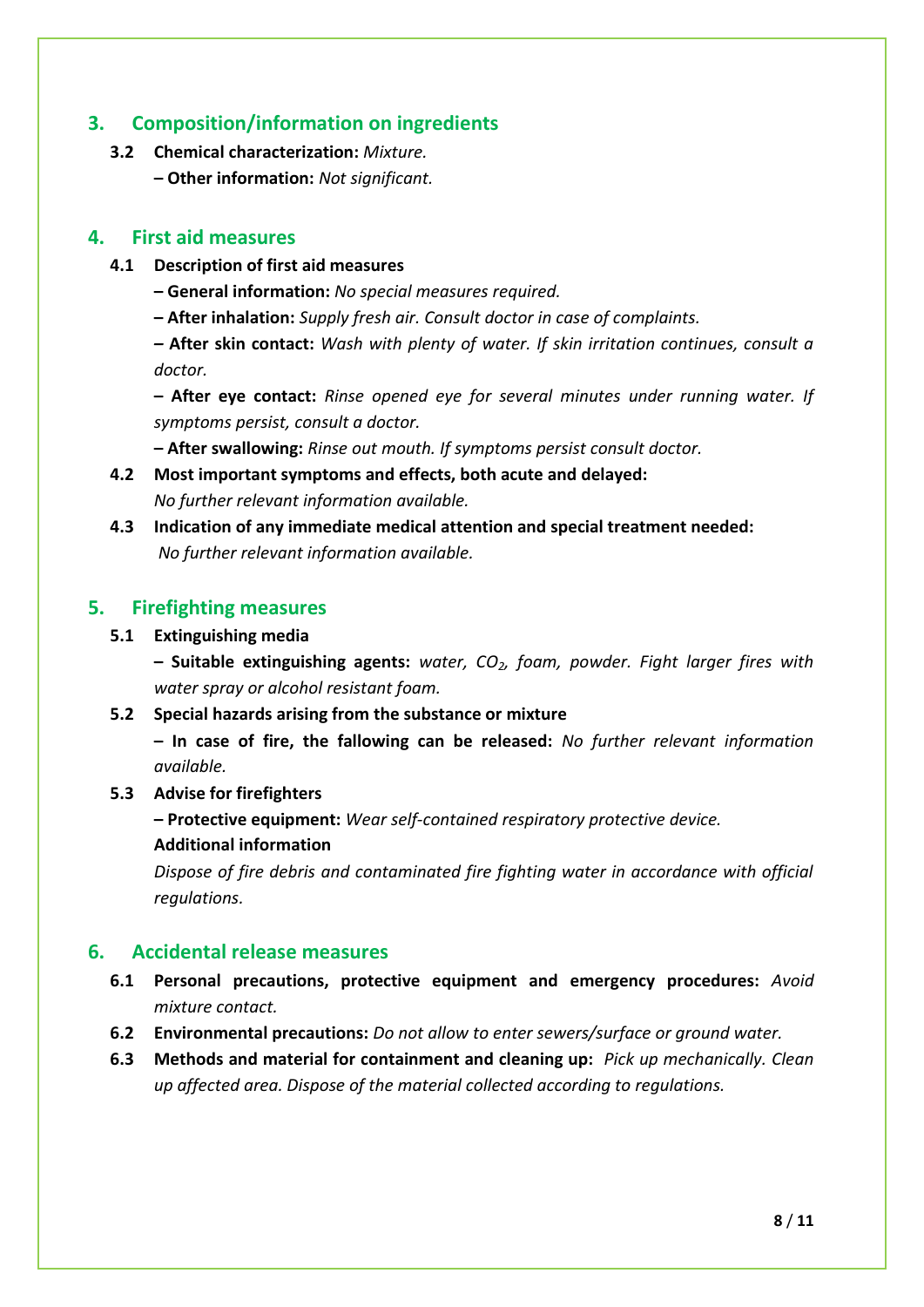## **3. Composition/information on ingredients**

- **3.2 Chemical characterization:** *Mixture.*
	- **– Other information:** *Not significant.*

## **4. First aid measures**

- **4.1 Description of first aid measures**
	- **– General information:** *No special measures required.*
	- **– After inhalation:** *Supply fresh air. Consult doctor in case of complaints.*

*–* **After skin contact:** *Wash with plenty of water. If skin irritation continues, consult a doctor.*

**– After eye contact:** *Rinse opened eye for several minutes under running water. If symptoms persist, consult a doctor.*

**– After swallowing:** *Rinse out mouth. If symptoms persist consult doctor.*

- **4.2 Most important symptoms and effects, both acute and delayed:**  *No further relevant information available.*
- **4.3 Indication of any immediate medical attention and special treatment needed:**  *No further relevant information available.*

## **5. Firefighting measures**

#### **5.1 Extinguishing media**

**– Suitable extinguishing agents:** *water, CO2, foam, powder. Fight larger fires with water spray or alcohol resistant foam.*

**5.2 Special hazards arising from the substance or mixture**

**– In case of fire, the fallowing can be released:** *No further relevant information available.*

**5.3 Advise for firefighters**

**– Protective equipment:** *Wear self-contained respiratory protective device.*

**Additional information**

*Dispose of fire debris and contaminated fire fighting water in accordance with official regulations.*

## **6. Accidental release measures**

- **6.1 Personal precautions, protective equipment and emergency procedures:** *Avoid mixture contact.*
- **6.2 Environmental precautions:** *Do not allow to enter sewers/surface or ground water.*
- **6.3 Methods and material for containment and cleaning up:** *Pick up mechanically. Clean up affected area. Dispose of the material collected according to regulations.*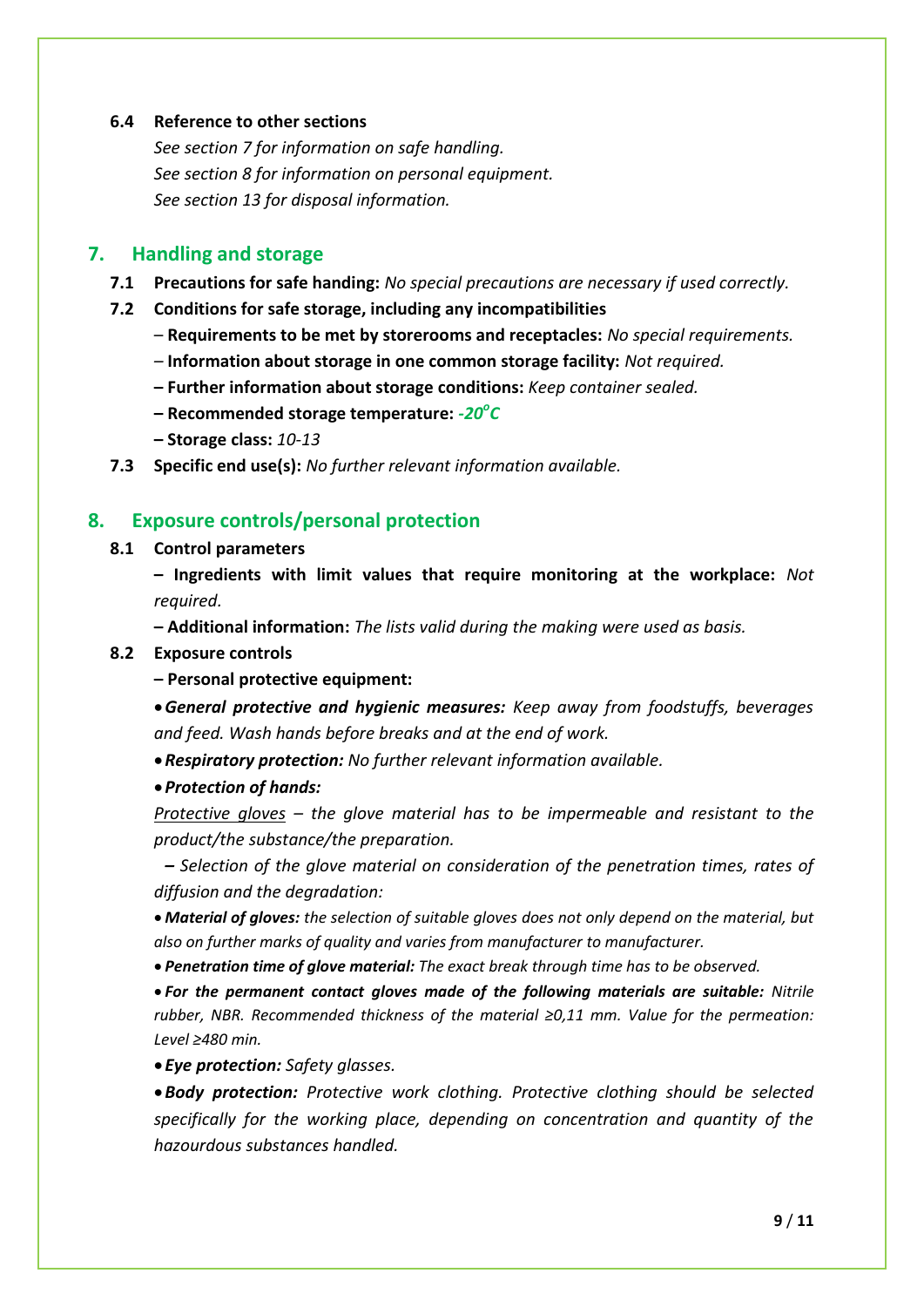#### **6.4 Reference to other sections**

*See section 7 for information on safe handling. See section 8 for information on personal equipment. See section 13 for disposal information.*

#### **7. Handling and storage**

- **7.1 Precautions for safe handing:** *No special precautions are necessary if used correctly.*
- **7.2 Conditions for safe storage, including any incompatibilities**
	- **Requirements to be met by storerooms and receptacles:** *No special requirements.*
	- *–* **Information about storage in one common storage facility:** *Not required.*
	- **– Further information about storage conditions:** *Keep container sealed.*
	- **– Recommended storage temperature:** *-20<sup>o</sup> C*
	- **– Storage class:** *10-13*
- **7.3 Specific end use(s):** *No further relevant information available.*

#### **8. Exposure controls/personal protection**

#### **8.1 Control parameters**

**– Ingredients with limit values that require monitoring at the workplace:** *Not required.*

**– Additional information:** *The lists valid during the making were used as basis.*

#### **8.2 Exposure controls**

**– Personal protective equipment:**

*General protective and hygienic measures: Keep away from foodstuffs, beverages and feed. Wash hands before breaks and at the end of work.*

*Respiratory protection: No further relevant information available.*

#### *Protection of hands:*

*Protective gloves – the glove material has to be impermeable and resistant to the product/the substance/the preparation.*

*– Selection of the glove material on consideration of the penetration times, rates of diffusion and the degradation:*

 *Material of gloves: the selection of suitable gloves does not only depend on the material, but also on further marks of quality and varies from manufacturer to manufacturer.*

*Penetration time of glove material: The exact break through time has to be observed.*

 *For the permanent contact gloves made of the following materials are suitable: Nitrile rubber, NBR. Recommended thickness of the material ≥0,11 mm. Value for the permeation: Level ≥480 min.*

*Eye protection: Safety glasses.*

*Body protection: Protective work clothing. Protective clothing should be selected specifically for the working place, depending on concentration and quantity of the hazourdous substances handled.*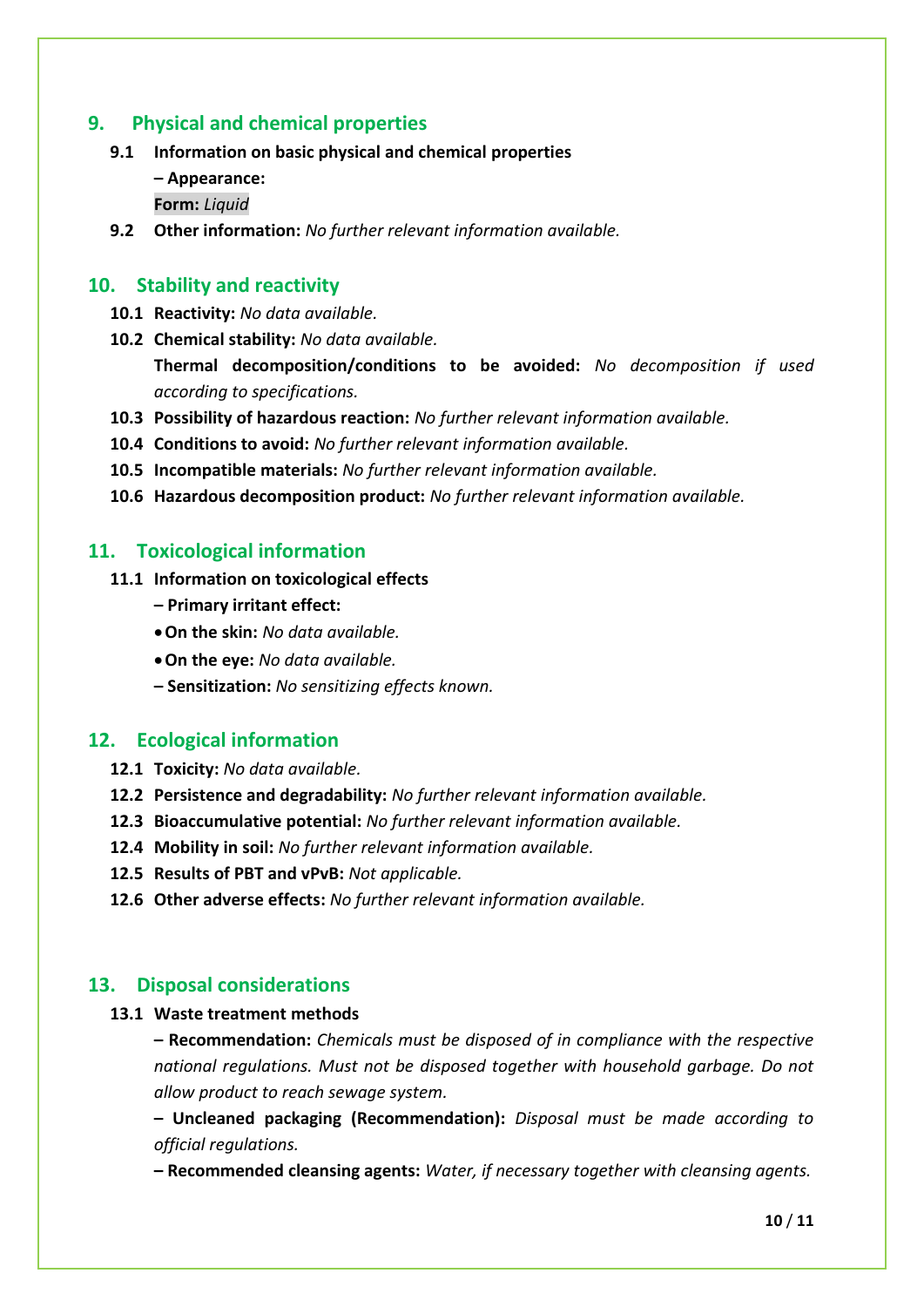## **9. Physical and chemical properties**

- **9.1 Information on basic physical and chemical properties**
	- **– Appearance:**
	- **Form:** *Liquid*
- **9.2 Other information:** *No further relevant information available.*

## **10. Stability and reactivity**

- **10.1 Reactivity:** *No data available.*
- **10.2 Chemical stability:** *No data available.*

**Thermal decomposition/conditions to be avoided:** *No decomposition if used according to specifications.*

- **10.3 Possibility of hazardous reaction:** *No further relevant information available.*
- **10.4 Conditions to avoid:** *No further relevant information available.*
- **10.5 Incompatible materials:** *No further relevant information available.*
- **10.6 Hazardous decomposition product:** *No further relevant information available.*

#### **11. Toxicological information**

- **11.1 Information on toxicological effects**
	- **– Primary irritant effect:**
	- **On the skin:** *No data available.*
	- **On the eye:** *No data available.*
	- **– Sensitization:** *No sensitizing effects known.*

#### **12. Ecological information**

- **12.1 Toxicity:** *No data available.*
- **12.2 Persistence and degradability:** *No further relevant information available.*
- **12.3 Bioaccumulative potential:** *No further relevant information available.*
- **12.4 Mobility in soil:** *No further relevant information available.*
- **12.5 Results of PBT and vPvB:** *Not applicable.*
- **12.6 Other adverse effects:** *No further relevant information available.*

#### **13. Disposal considerations**

#### **13.1 Waste treatment methods**

**– Recommendation:** *Chemicals must be disposed of in compliance with the respective national regulations. Must not be disposed together with household garbage. Do not allow product to reach sewage system.* 

**– Uncleaned packaging (Recommendation):** *Disposal must be made according to official regulations.* 

**– Recommended cleansing agents:** *Water, if necessary together with cleansing agents.*